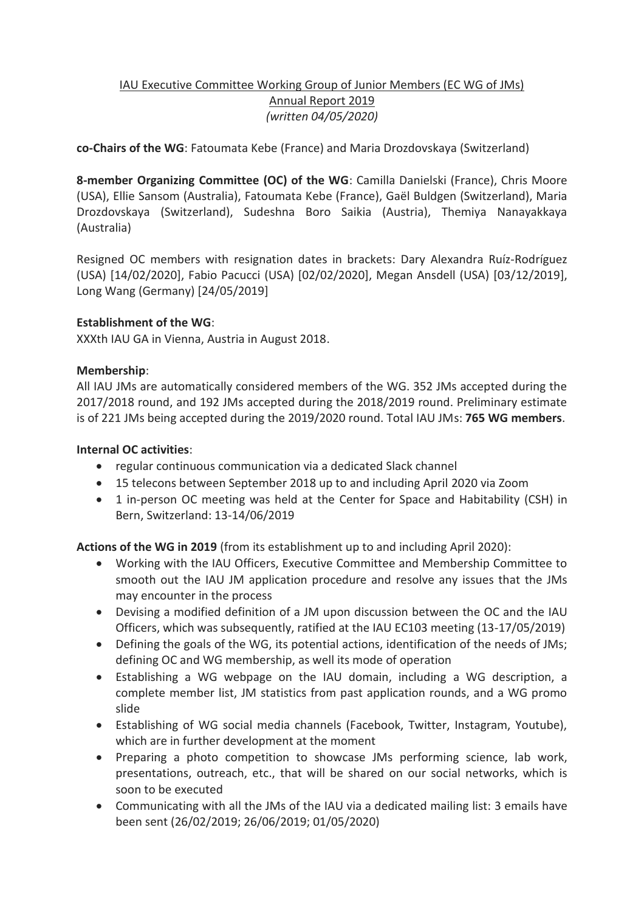## IAU Executive Committee Working Group of Junior Members (EC WG of JMs) Annual Report 2019 *(written 04/05/2020)*

**co-Chairs of the WG**: Fatoumata Kebe (France) and Maria Drozdovskaya (Switzerland)

**8-member Organizing Committee (OC) of the WG**: Camilla Danielski (France), Chris Moore (USA), Ellie Sansom (Australia), Fatoumata Kebe (France), Gaël Buldgen (Switzerland), Maria Drozdovskaya (Switzerland), Sudeshna Boro Saikia (Austria), Themiya Nanayakkaya (Australia)

Resigned OC members with resignation dates in brackets: Dary Alexandra Ruíz-Rodríguez (USA) [14/02/2020], Fabio Pacucci (USA) [02/02/2020], Megan Ansdell (USA) [03/12/2019], Long Wang (Germany) [24/05/2019]

## **Establishment of the WG**:

XXXth IAU GA in Vienna, Austria in August 2018.

## **Membership**:

All IAU JMs are automatically considered members of the WG. 352 JMs accepted during the 2017/2018 round, and 192 JMs accepted during the 2018/2019 round. Preliminary estimate is of 221 JMs being accepted during the 2019/2020 round. Total IAU JMs: **765 WG members**.

## **Internal OC activities**:

- regular continuous communication via a dedicated Slack channel
- 15 telecons between September 2018 up to and including April 2020 via Zoom
- 1 in-person OC meeting was held at the Center for Space and Habitability (CSH) in Bern, Switzerland: 13-14/06/2019

**Actions of the WG in 2019** (from its establishment up to and including April 2020):

- Working with the IAU Officers, Executive Committee and Membership Committee to smooth out the IAU JM application procedure and resolve any issues that the JMs may encounter in the process
- Devising a modified definition of a JM upon discussion between the OC and the IAU Officers, which was subsequently, ratified at the IAU EC103 meeting (13-17/05/2019)
- Defining the goals of the WG, its potential actions, identification of the needs of JMs; defining OC and WG membership, as well its mode of operation
- Establishing a WG webpage on the IAU domain, including a WG description, a complete member list, JM statistics from past application rounds, and a WG promo slide
- Establishing of WG social media channels (Facebook, Twitter, Instagram, Youtube), which are in further development at the moment
- Preparing a photo competition to showcase JMs performing science, lab work, presentations, outreach, etc., that will be shared on our social networks, which is soon to be executed
- Communicating with all the JMs of the IAU via a dedicated mailing list: 3 emails have been sent (26/02/2019; 26/06/2019; 01/05/2020)